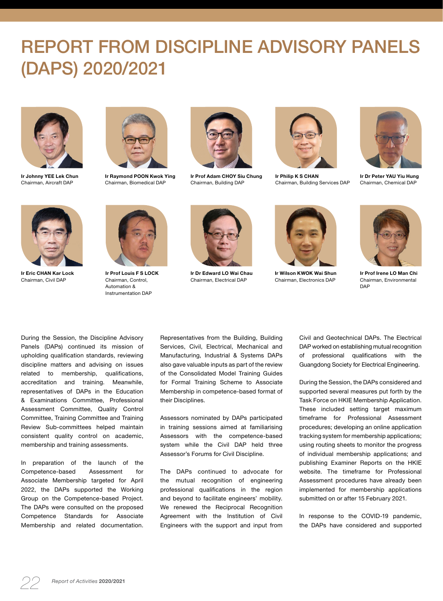## REPORT FROM DISCIPLINE ADVISORY PANELS (DAPS) 2020/2021



**Ir Johnny YEE Lek Chun** Chairman, Aircraft DAP



**Ir Raymond POON Kwok Ying** Chairman, Biomedical DAP



**Ir Prof Adam CHOY Siu Chung** Chairman, Building DAP



**Ir Philip K S CHAN** Chairman, Building Services DAP



**Ir Dr Peter YAU Yiu Hung** Chairman, Chemical DAP



**Ir Eric CHAN Kar Lock** Chairman, Civil DAP



**Ir Prof Louis F S LOCK**  Chairman, Control, Automation & Instrumentation DAP



**Ir Dr Edward LO Wai Chau** Chairman, Electrical DAP



**Ir Wilson KWOK Wai Shun** Chairman, Electronics DAP



**Ir Prof Irene LO Man Chi** Chairman, Environmental DAP

During the Session, the Discipline Advisory Panels (DAPs) continued its mission of upholding qualification standards, reviewing discipline matters and advising on issues related to membership, qualifications, accreditation and training. Meanwhile, representatives of DAPs in the Education & Examinations Committee, Professional Assessment Committee, Quality Control Committee, Training Committee and Training Review Sub-committees helped maintain consistent quality control on academic, membership and training assessments.

In preparation of the launch of the Competence-based Assessment for Associate Membership targeted for April 2022, the DAPs supported the Working Group on the Competence-based Project. The DAPs were consulted on the proposed Competence Standards for Associate Membership and related documentation.

Representatives from the Building, Building Services, Civil, Electrical, Mechanical and Manufacturing, Industrial & Systems DAPs also gave valuable inputs as part of the review of the Consolidated Model Training Guides for Formal Training Scheme to Associate Membership in competence-based format of their Disciplines.

Assessors nominated by DAPs participated in training sessions aimed at familiarising Assessors with the competence-based system while the Civil DAP held three Assessor's Forums for Civil Discipline.

The DAPs continued to advocate for the mutual recognition of engineering professional qualifications in the region and beyond to facilitate engineers' mobility. We renewed the Reciprocal Recognition Agreement with the Institution of Civil Engineers with the support and input from

Civil and Geotechnical DAPs. The Electrical DAP worked on establishing mutual recognition of professional qualifications with the Guangdong Society for Electrical Engineering.

During the Session, the DAPs considered and supported several measures put forth by the Task Force on HKIE Membership Application. These included setting target maximum timeframe for Professional Assessment procedures; developing an online application tracking system for membership applications; using routing sheets to monitor the progress of individual membership applications; and publishing Examiner Reports on the HKIE website. The timeframe for Professional Assessment procedures have already been implemented for membership applications submitted on or after 15 February 2021.

In response to the COVID-19 pandemic, the DAPs have considered and supported